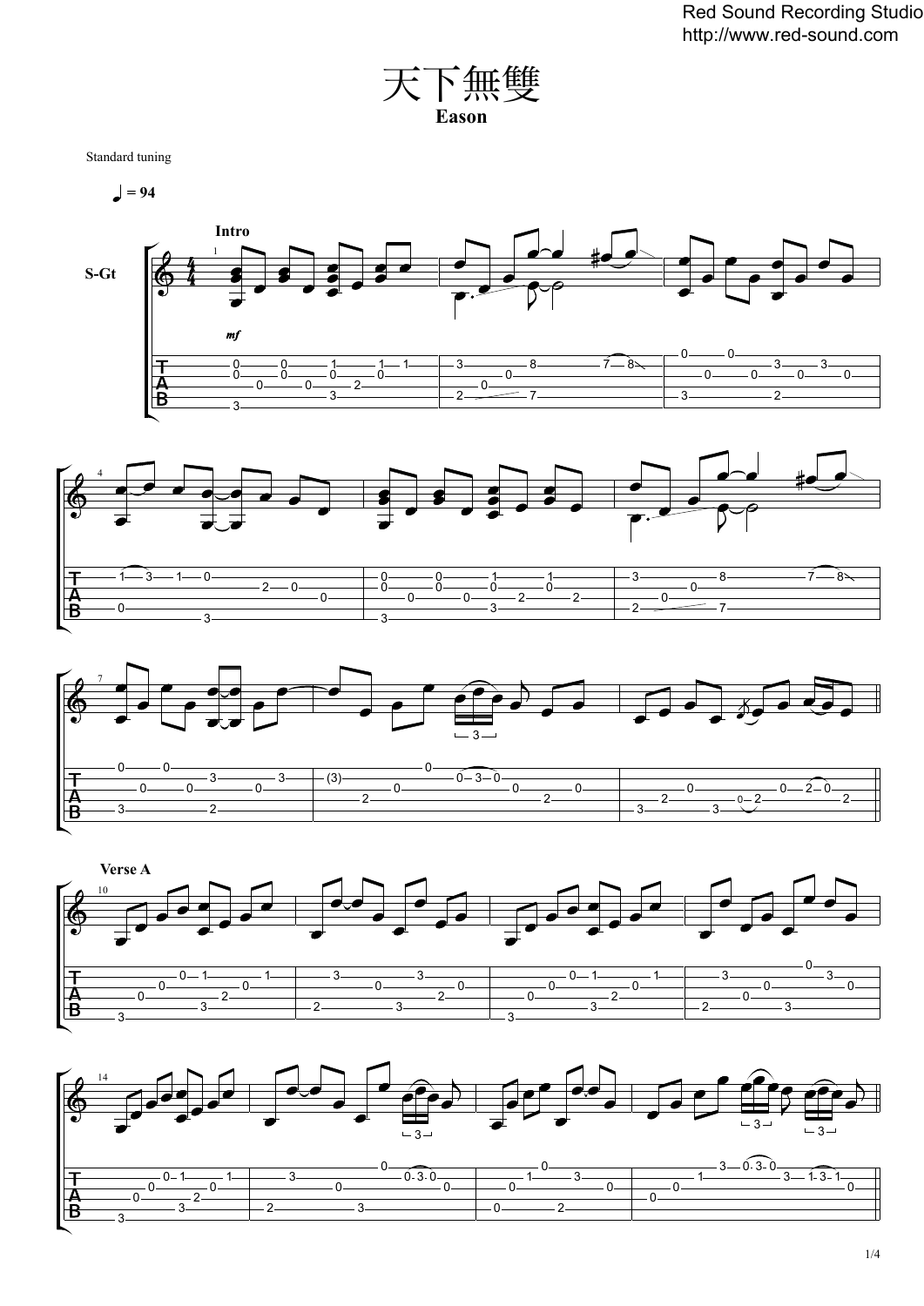

Standard tuning

 $= 94$ 









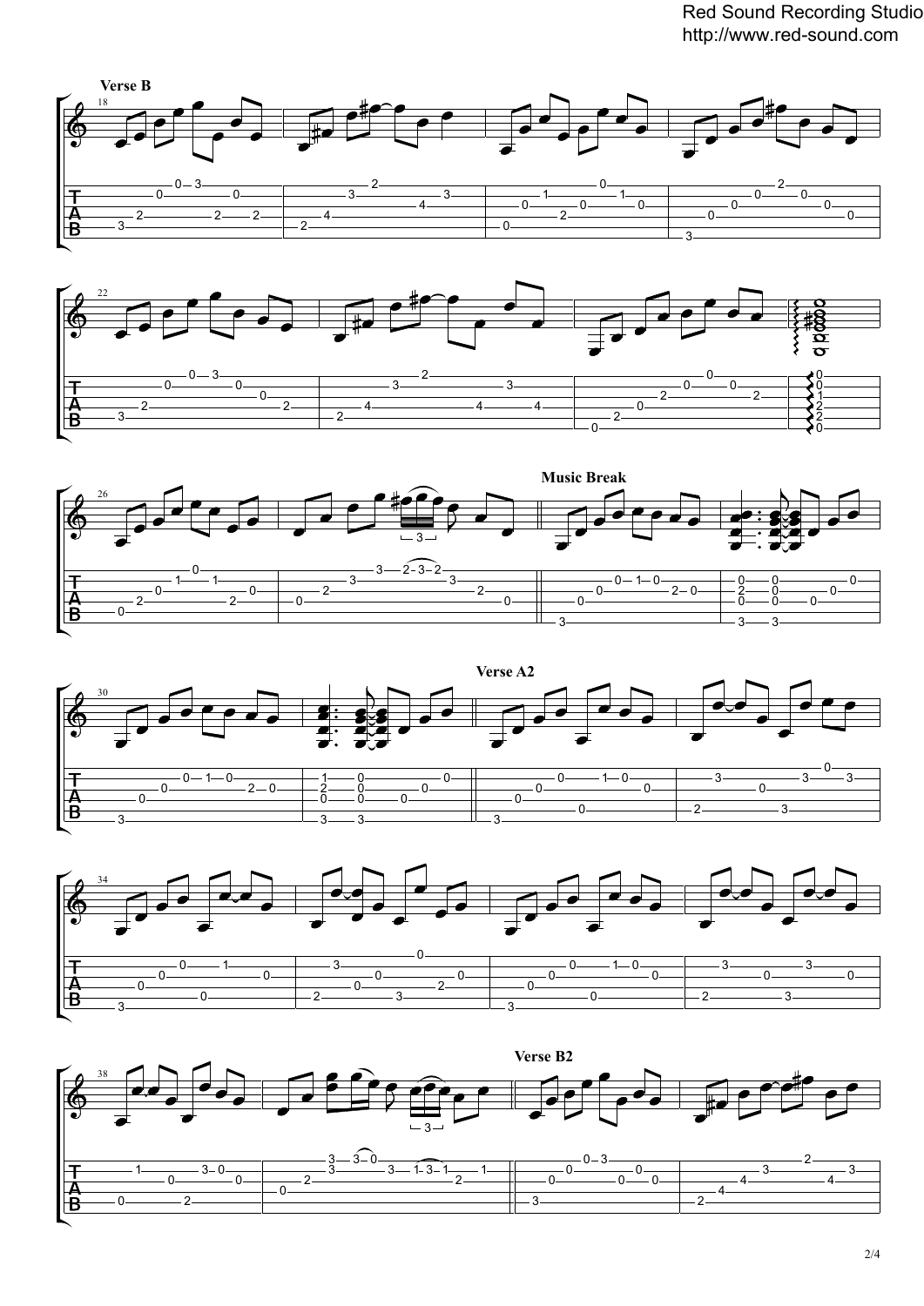Red Sound Recording Studio http://www.red-sound.com











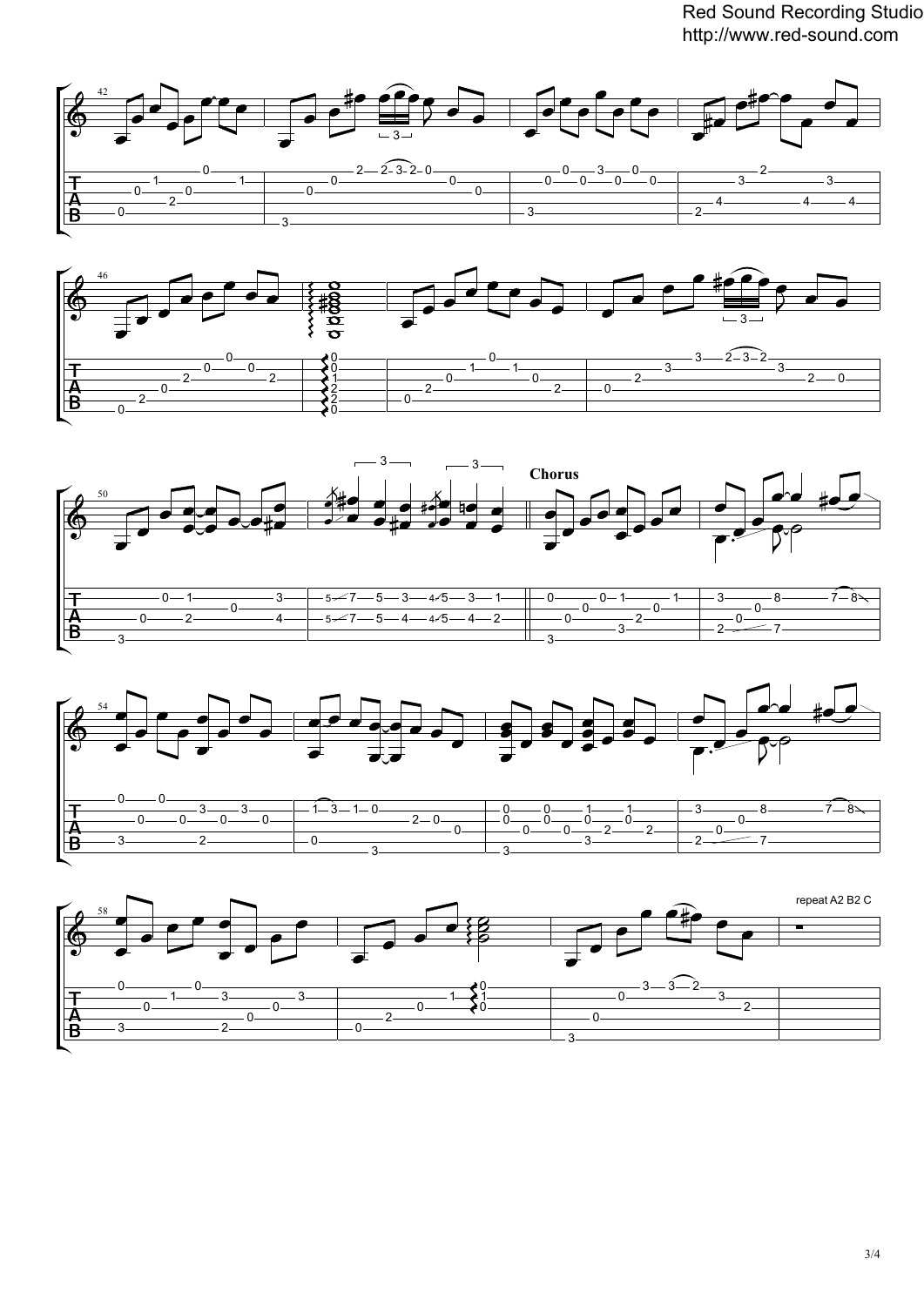Red Sound Recording Studio http://www.red-sound.com